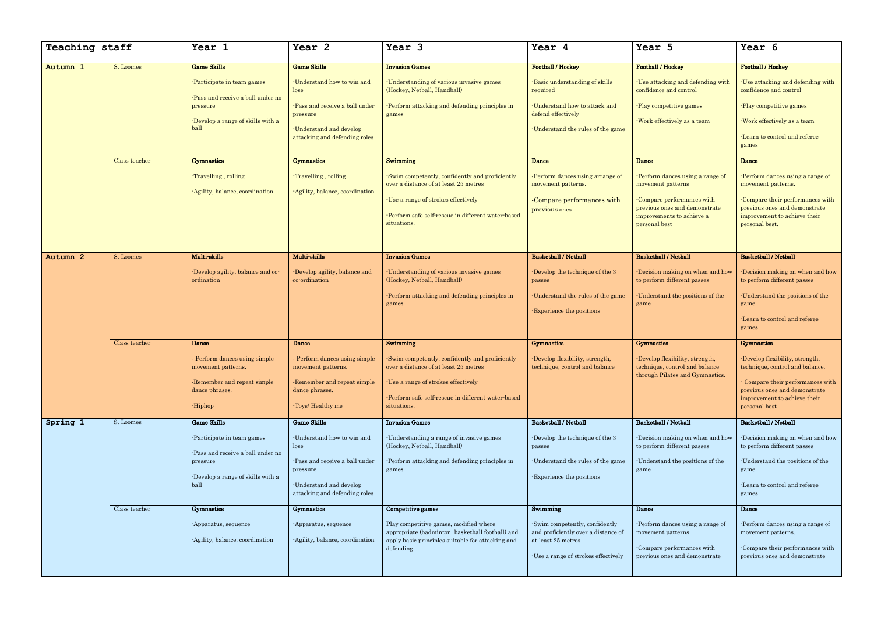| Teaching staff      |                            | Year 1                                                                                                                                                                                                               | Year <sub>2</sub>                                                                                                                                                                                                                           | Year 3                                                                                                                                                                                                                                                                                                                                                                     | Year 4                                                                                                                                                                                                                                                                               | Year 5                                                                                                                                                                                                                                                               | Year 6                                                                                                                                                                                                                                                                                                                                                                                |
|---------------------|----------------------------|----------------------------------------------------------------------------------------------------------------------------------------------------------------------------------------------------------------------|---------------------------------------------------------------------------------------------------------------------------------------------------------------------------------------------------------------------------------------------|----------------------------------------------------------------------------------------------------------------------------------------------------------------------------------------------------------------------------------------------------------------------------------------------------------------------------------------------------------------------------|--------------------------------------------------------------------------------------------------------------------------------------------------------------------------------------------------------------------------------------------------------------------------------------|----------------------------------------------------------------------------------------------------------------------------------------------------------------------------------------------------------------------------------------------------------------------|---------------------------------------------------------------------------------------------------------------------------------------------------------------------------------------------------------------------------------------------------------------------------------------------------------------------------------------------------------------------------------------|
| Autumn 1            | S. Loomes<br>Class teacher | <b>Game Skills</b><br>Participate in team games<br>Pass and receive a ball under no<br>pressure<br>Develop a range of skills with a<br>ball<br><b>Gymnastics</b>                                                     | <b>Game Skills</b><br>Understand how to win and<br>lose<br>Pass and receive a ball under<br>pressure<br>-Understand and develop<br>attacking and defending roles<br><b>Gymnastics</b>                                                       | <b>Invasion Games</b><br>Understanding of various invasive games<br>(Hockey, Netball, Handball)<br>Perform attacking and defending principles in<br>games<br><b>Swimming</b>                                                                                                                                                                                               | Football / Hockey<br>-Basic understanding of skills<br>required<br>-Understand how to attack and<br>defend effectively<br>Understand the rules of the game<br>Dance                                                                                                                  | Football / Hockey<br>Use attacking and defending with<br>confidence and control<br>-Play competitive games<br>Work effectively as a team<br><b>Dance</b>                                                                                                             | Football / Hockey<br>-Use attacking and defending with<br>confidence and control<br>-Play competitive games<br>Work effectively as a team<br>-Learn to control and referee<br>games<br><b>Dance</b>                                                                                                                                                                                   |
|                     |                            | -Travelling, rolling<br>-Agility, balance, coordination                                                                                                                                                              | -Travelling, rolling<br>-Agility, balance, coordination                                                                                                                                                                                     | Swim competently, confidently and proficiently<br>over a distance of at least 25 metres<br>Use a range of strokes effectively<br>Perform safe self-rescue in different water-based<br>situations.                                                                                                                                                                          | -Perform dances using arrange of<br>movement patterns.<br>-Compare performances with<br>previous ones                                                                                                                                                                                | -Perform dances using a range of<br>movement patterns<br>-Compare performances with<br>previous ones and demonstrate<br>improvements to achieve a<br>personal best                                                                                                   | -Perform dances using a range of<br>movement patterns.<br>-Compare their performances with<br>previous ones and demonstrate<br>improvement to achieve their<br>personal best.                                                                                                                                                                                                         |
| Autumn <sub>2</sub> | S. Loomes<br>Class teacher | Multi-skills<br>Develop agility, balance and co-<br>ordination<br>Dance<br>- Perform dances using simple<br>movement patterns.<br>-Remember and repeat simple<br>dance phrases.<br>-Hiphop                           | Multi-skills<br>Develop agility, balance and<br>co-ordination<br>Dance<br>- Perform dances using simple<br>movement patterns.<br>-Remember and repeat simple<br>dance phrases.<br>-Toys/ Healthy me                                         | <b>Invasion Games</b><br>Understanding of various invasive games<br>(Hockey, Netball, Handball)<br>Perform attacking and defending principles in<br>games<br>Swimming<br>Swim competently, confidently and proficiently<br>over a distance of at least 25 metres<br>Use a range of strokes effectively<br>Perform safe self-rescue in different water-based<br>situations. | <b>Basketball / Netball</b><br>Develop the technique of the 3<br>passes<br>-Understand the rules of the game<br>Experience the positions<br>Gymnastics<br>-Develop flexibility, strength,<br>technique, control and balance                                                          | <b>Basketball / Netball</b><br>Decision making on when and how<br>to perform different passes<br>-Understand the positions of the<br>game<br>Gymnastics<br>-Develop flexibility, strength,<br>technique, control and balance<br>through Pilates and Gymnastics.      | Basketball / Netball<br>Decision making on when and how<br>to perform different passes<br>-Understand the positions of the<br>game<br>-Learn to control and referee<br>games<br>Gymnastics<br>-Develop flexibility, strength,<br>technique, control and balance.<br>Compare their performances with<br>previous ones and demonstrate<br>improvement to achieve their<br>personal best |
| Spring 1            | S. Loomes<br>Class teacher | <b>Game Skills</b><br>Participate in team games<br>Pass and receive a ball under no<br>pressure<br>Develop a range of skills with a<br>ball<br>Gymnastics<br>-Apparatus, sequence<br>-Agility, balance, coordination | <b>Game Skills</b><br>-Understand how to win and<br>lose<br>-Pass and receive a ball under<br>pressure<br>-Understand and develop<br>attacking and defending roles<br>Gymnastics<br>-Apparatus, sequence<br>-Agility, balance, coordination | <b>Invasion Games</b><br>Understanding a range of invasive games<br>(Hockey, Netball, Handball)<br>Perform attacking and defending principles in<br>games<br>Competitive games<br>Play competitive games, modified where<br>appropriate (badminton, basketball football) and<br>apply basic principles suitable for attacking and<br>defending.                            | Basketball / Netball<br>Develop the technique of the 3<br>passes<br>-Understand the rules of the game<br>-Experience the positions<br>Swimming<br>-Swim competently, confidently<br>and proficiently over a distance of<br>at least 25 metres<br>-Use a range of strokes effectively | Basketball / Netball<br>-Decision making on when and how<br>to perform different passes<br>-Understand the positions of the<br>game<br>Dance<br>-Perform dances using a range of<br>movement patterns.<br>Compare performances with<br>previous ones and demonstrate | Basketball / Netball<br>-Decision making on when and how<br>to perform different passes<br>-Understand the positions of the<br>game<br>-Learn to control and referee<br>games<br>Dance<br>-Perform dances using a range of<br>movement patterns.<br>-Compare their performances with<br>previous ones and demonstrate                                                                 |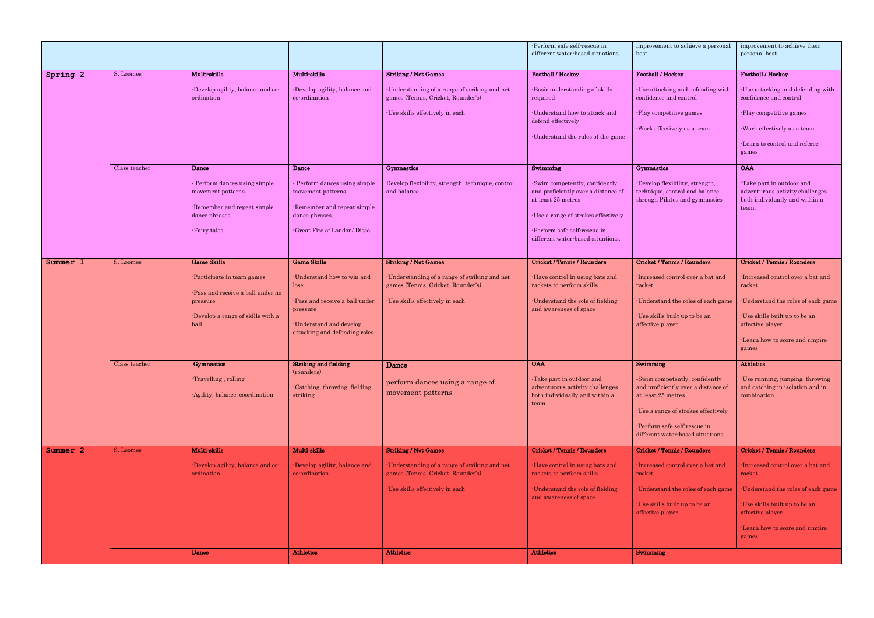|          |               |                                                        |                                                                 |                                                                                    | -Perform safe self-rescue in<br>different water-based situations.                              | improvement to achieve a personal<br>best                                                           | improvement to achieve their<br>personal best.                                                 |
|----------|---------------|--------------------------------------------------------|-----------------------------------------------------------------|------------------------------------------------------------------------------------|------------------------------------------------------------------------------------------------|-----------------------------------------------------------------------------------------------------|------------------------------------------------------------------------------------------------|
| Spring 2 | S. Loomes     | Multi-skills                                           | Multi-skills                                                    | <b>Striking / Net Games</b>                                                        | Football / Hockey                                                                              | Football / Hockey                                                                                   | Football / Hockey                                                                              |
|          |               | -Develop agility, balance and co-<br>ordination        | -Develop agility, balance and<br>co-ordination                  | Understanding of a range of striking and net<br>games (Tennis, Cricket, Rounder's) | -Basic understanding of skills<br>required                                                     | -Use attacking and defending with<br>confidence and control                                         | Use attacking and defending with<br>confidence and control                                     |
|          |               |                                                        |                                                                 | -Use skills effectively in each                                                    | -Understand how to attack and<br>defend effectively                                            | -Play competitive games                                                                             | -Play competitive games                                                                        |
|          |               |                                                        |                                                                 |                                                                                    | -Understand the rules of the game                                                              | Work effectively as a team                                                                          | Work effectively as a team                                                                     |
|          |               |                                                        |                                                                 |                                                                                    |                                                                                                |                                                                                                     | -Learn to control and referee<br>games                                                         |
|          | Class teacher | Dance                                                  | Dance                                                           | Gymnastics                                                                         | Swimming                                                                                       | Gymnastics                                                                                          | <b>OAA</b>                                                                                     |
|          |               | - Perform dances using simple<br>movement patterns.    | Perform dances using simple<br>movement patterns.               | Develop flexibility, strength, technique, control<br>and balance.                  | Swim competently, confidently<br>and proficiently over a distance of<br>at least 25 metres     | -Develop flexibility, strength,<br>technique, control and balance<br>through Pilates and gymnastics | -Take part in outdoor and<br>adventurous activity challenges<br>both individually and within a |
|          |               | -Remember and repeat simple<br>dance phrases.          | Remember and repeat simple<br>dance phrases.                    |                                                                                    | Use a range of strokes effectively                                                             |                                                                                                     | team.                                                                                          |
|          |               | -Fairy tales                                           | -Great Fire of London/ Disco                                    |                                                                                    | -Perform safe self-rescue in<br>different water-based situations.                              |                                                                                                     |                                                                                                |
| Summer 1 | S. Loomes     | <b>Game Skills</b>                                     | <b>Game Skills</b>                                              | <b>Striking / Net Games</b>                                                        | Cricket / Tennis / Rounders                                                                    | Cricket / Tennis / Rounders                                                                         | Cricket / Tennis / Rounders                                                                    |
|          |               | -Participate in team games                             | Understand how to win and<br>lose                               | Understanding of a range of striking and net<br>games (Tennis, Cricket, Rounder's) | Have control in using bats and<br>rackets to perform skills                                    | -Increased control over a bat and<br>racket                                                         | Increased control over a bat and<br>racket                                                     |
|          |               | Pass and receive a ball under no<br>pressure           | -Pass and receive a ball under<br>pressure                      | Use skills effectively in each                                                     | -Understand the role of fielding<br>and awareness of space                                     | -Understand the roles of each game                                                                  | Understand the roles of each game                                                              |
|          |               | Develop a range of skills with a<br>ball               | <b>-Understand and develop</b><br>attacking and defending roles |                                                                                    |                                                                                                | -Use skills built up to be an<br>affective player                                                   | -Use skills built up to be an<br>affective player                                              |
|          |               |                                                        |                                                                 |                                                                                    |                                                                                                |                                                                                                     | -Learn how to score and umpire<br>games                                                        |
|          | Class teacher | Gymnastics                                             | Striking and fielding<br>(rounders)                             | Dance                                                                              | <b>OAA</b>                                                                                     | Swimming                                                                                            | <b>Athletics</b>                                                                               |
|          |               | Travelling, rolling<br>-Agility, balance, coordination | -Catching, throwing, fielding,<br>striking                      | perform dances using a range of<br>movement patterns                               | -Take part in outdoor and<br>adventurous activity challenges<br>both individually and within a | Swim competently, confidently<br>and proficiently over a distance of<br>at least 25 metres          | Use running, jumping, throwing<br>and catching in isolation and in<br>combination              |
|          |               |                                                        |                                                                 |                                                                                    | team                                                                                           | Use a range of strokes effectively                                                                  |                                                                                                |
|          |               |                                                        |                                                                 |                                                                                    |                                                                                                | -Perform safe self-rescue in<br>different water-based situations.                                   |                                                                                                |
| Summer 2 | S. Loomes     | Multi-skills                                           | Multi-skills                                                    | <b>Striking / Net Games</b>                                                        | <b>Cricket / Tennis / Rounders</b>                                                             | <b>Cricket / Tennis / Rounders</b>                                                                  | <b>Cricket / Tennis / Rounders</b>                                                             |
|          |               | -Develop agility, balance and co-<br>ordination        | Develop agility, balance and<br>co-ordination                   | Understanding of a range of striking and net<br>games (Tennis, Cricket, Rounder's) | Have control in using bats and<br>rackets to perform skills                                    | Increased control over a bat and<br>racket                                                          | Increased control over a bat and<br>racket                                                     |
|          |               |                                                        |                                                                 | -Use skills effectively in each                                                    | -Understand the role of fielding                                                               | -Understand the roles of each game                                                                  | Understand the roles of each game                                                              |
|          |               |                                                        |                                                                 |                                                                                    | and awareness of space                                                                         | -Use skills built up to be an<br>affective player                                                   | -Use skills built up to be an<br>affective player                                              |
|          |               |                                                        |                                                                 |                                                                                    |                                                                                                |                                                                                                     | -Learn how to score and umpire<br>games                                                        |
|          |               | Dance                                                  | <b>Athletics</b>                                                | <b>Athletics</b>                                                                   | <b>Athletics</b>                                                                               | Swimming                                                                                            |                                                                                                |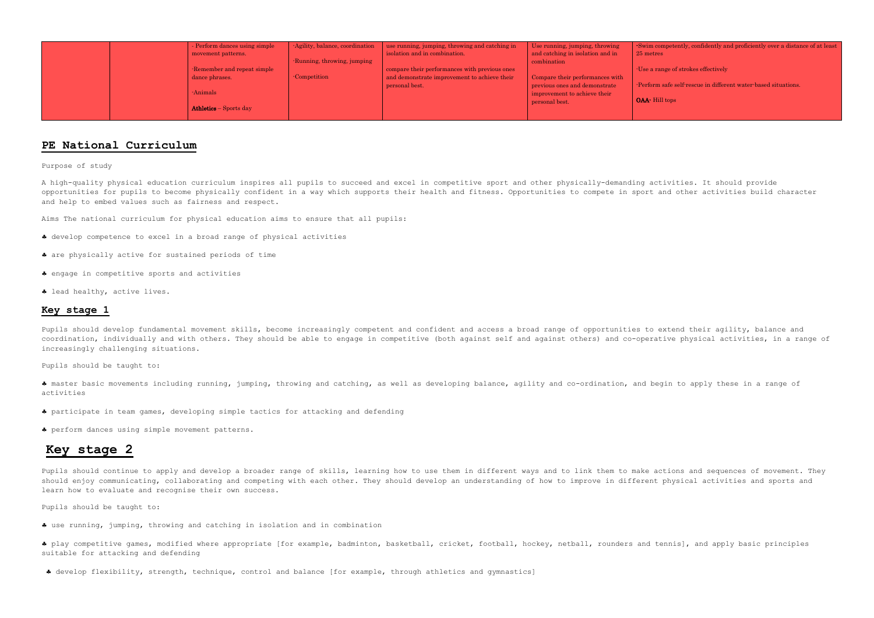|  | - Perform dances using simple<br>movement patterns.<br>Remember and repeat simple<br>dance phrases.<br>-Animals<br><b>Athletics</b> – Sports day | -Agility, balance, coordination<br>Running, throwing, jumping<br>-Competition | use running, jumping, throwing and catching in<br>isolation and in combination.<br>compare their performances with previous ones<br>and demonstrate improvement to achieve their<br>personal best. | Use running, jumping, throwing<br>and catching in isolation and in<br>combination<br>Compare their performances with<br>previous ones and demonstrate<br>improvement to achieve their<br>personal best. | Swim con<br>25 metres<br>-Use a ran<br>-Perform s<br><b>OAA</b> Hill |
|--|--------------------------------------------------------------------------------------------------------------------------------------------------|-------------------------------------------------------------------------------|----------------------------------------------------------------------------------------------------------------------------------------------------------------------------------------------------|---------------------------------------------------------------------------------------------------------------------------------------------------------------------------------------------------------|----------------------------------------------------------------------|
|--|--------------------------------------------------------------------------------------------------------------------------------------------------|-------------------------------------------------------------------------------|----------------------------------------------------------------------------------------------------------------------------------------------------------------------------------------------------|---------------------------------------------------------------------------------------------------------------------------------------------------------------------------------------------------------|----------------------------------------------------------------------|

- develop competence to excel in a broad range of physical activities
- are physically active for sustained periods of time
- $\clubsuit$  engage in competitive sports and activities
- $\clubsuit$  lead healthy, active lives.

## **PE National Curriculum**

Purpose of study

Pupils should develop fundamental movement skills, become increasingly competent and confident and access a broad range of opportunities to extend their agility, balance and coordination, individually and with others. They should be able to engage in competitive (both against self and against others) and co-operative physical activities, in a range of increasingly challenging situations.

A high-quality physical education curriculum inspires all pupils to succeed and excel in competitive sport and other physically-demanding activities. It should provide opportunities for pupils to become physically confident in a way which supports their health and fitness. Opportunities to compete in sport and other activities build character and help to embed values such as fairness and respect.

\* master basic movements including running, jumping, throwing and catching, as well as developing balance, agility and co-ordination, and begin to apply these in a range of activities

Aims The national curriculum for physical education aims to ensure that all pupils:

 $\clubsuit$  play competitive games, modified where appropriate [for example, badminton, basketball, cricket, football, hockey, netball, rounders and tennis], and apply basic principles suitable for attacking and defending

## **Key stage 1**

Pupils should be taught to:

- participate in team games, developing simple tactics for attacking and defending
- perform dances using simple movement patterns.

## **Key stage 2**

Pupils should continue to apply and develop a broader range of skills, learning how to use them in different ways and to link them to make actions and sequences of movement. They should enjoy communicating, collaborating and competing with each other. They should develop an understanding of how to improve in different physical activities and sports and learn how to evaluate and recognise their own success.

Pupils should be taught to:

use running, jumping, throwing and catching in isolation and in combination

develop flexibility, strength, technique, control and balance [for example, through athletics and gymnastics]

mpetently, confidently and proficiently over a distance of at least

nge of strokes effectively

safe self-rescue in different water-based situations

tops